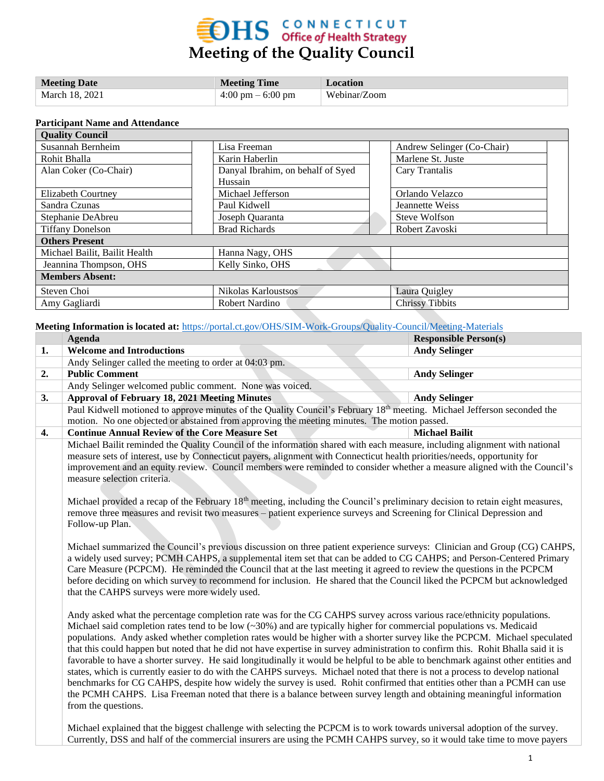# **EDHS** CONNECTICUT<br>Meeting of the Quality Council

| <b>Meeting Date</b> | <b>Meeting Time</b>                 | Location     |
|---------------------|-------------------------------------|--------------|
| March 18, 2021      | $4:00 \text{ pm} - 6:00 \text{ pm}$ | Webinar/Zoom |

#### **Participant Name and Attendance**

| <b>Quality Council</b>        |                                   |  |                            |  |  |  |
|-------------------------------|-----------------------------------|--|----------------------------|--|--|--|
| Susannah Bernheim             | Lisa Freeman                      |  | Andrew Selinger (Co-Chair) |  |  |  |
| Rohit Bhalla                  | Karin Haberlin                    |  | Marlene St. Juste          |  |  |  |
| Alan Coker (Co-Chair)         | Danyal Ibrahim, on behalf of Syed |  | Cary Trantalis             |  |  |  |
|                               | Hussain                           |  |                            |  |  |  |
| Elizabeth Courtney            | Michael Jefferson                 |  | Orlando Velazco            |  |  |  |
| Sandra Czunas                 | Paul Kidwell                      |  | Jeannette Weiss            |  |  |  |
| Stephanie DeAbreu             | Joseph Quaranta                   |  | Steve Wolfson              |  |  |  |
| <b>Tiffany Donelson</b>       | <b>Brad Richards</b>              |  | Robert Zavoski             |  |  |  |
| <b>Others Present</b>         |                                   |  |                            |  |  |  |
| Michael Bailit, Bailit Health | Hanna Nagy, OHS                   |  |                            |  |  |  |
| Jeannina Thompson, OHS        | Kelly Sinko, OHS                  |  |                            |  |  |  |
| <b>Members Absent:</b>        |                                   |  |                            |  |  |  |
| Steven Choi                   | Nikolas Karloustsos               |  | Laura Quigley              |  |  |  |
| Amy Gagliardi                 | Robert Nardino                    |  | <b>Chrissy Tibbits</b>     |  |  |  |

**Meeting Information is located at:** <https://portal.ct.gov/OHS/SIM-Work-Groups/Quality-Council/Meeting-Materials>

| <b>Agenda</b>                                                                                                                       | <b>Responsible Person(s)</b> |
|-------------------------------------------------------------------------------------------------------------------------------------|------------------------------|
| <b>Welcome and Introductions</b>                                                                                                    | <b>Andy Selinger</b>         |
| Andy Selinger called the meeting to order at 04:03 pm.                                                                              |                              |
| <b>Public Comment</b>                                                                                                               | <b>Andy Selinger</b>         |
| Andy Selinger welcomed public comment. None was voiced.                                                                             |                              |
| <b>Approval of February 18, 2021 Meeting Minutes</b>                                                                                | <b>Andy Selinger</b>         |
| Paul Kidwell motioned to approve minutes of the Quality Council's February 18 <sup>th</sup> meeting. Michael Jefferson seconded the |                              |
| motion. No one objected or abstained from approving the meeting minutes. The motion passed.                                         |                              |
| <b>Continue Annual Review of the Core Measure Set</b>                                                                               | <b>Michael Bailit</b>        |
| Michael Bailit reminded the Quality Council of the information shared with each measure, including alignment with national          |                              |
| measure sets of interest, use by Connecticut payers, alignment with Connecticut health priorities/needs, opportunity for            |                              |
| improvement and an equity review. Council members were reminded to consider whether a measure aligned with the Council's            |                              |
| measure selection criteria.                                                                                                         |                              |
|                                                                                                                                     |                              |
| Michael provided a recap of the February $18th$ meeting, including the Council's preliminary decision to retain eight measures,     |                              |
| remove three measures and revisit two measures – patient experience surveys and Screening for Clinical Depression and               |                              |
| Follow-up Plan.                                                                                                                     |                              |
|                                                                                                                                     |                              |
| Michael summarized the Council's previous discussion on three patient experience surveys: Clinician and Group (CG) CAHPS,           |                              |
| a widely used survey; PCMH CAHPS, a supplemental item set that can be added to CG CAHPS; and Person-Centered Primary                |                              |
| Care Measure (PCPCM). He reminded the Council that at the last meeting it agreed to review the questions in the PCPCM               |                              |
| before deciding on which survey to recommend for inclusion. He shared that the Council liked the PCPCM but acknowledged             |                              |
| that the CAHPS surveys were more widely used.                                                                                       |                              |
|                                                                                                                                     |                              |
| Andy asked what the percentage completion rate was for the CG CAHPS survey across various race/ethnicity populations.               |                              |
| Michael said completion rates tend to be low $(\sim 30%)$ and are typically higher for commercial populations vs. Medicaid          |                              |
| populations. Andy asked whether completion rates would be higher with a shorter survey like the PCPCM. Michael speculated           |                              |
| that this could happen but noted that he did not have expertise in survey administration to confirm this. Rohit Bhalla said it is   |                              |
| favorable to have a shorter survey. He said longitudinally it would be helpful to be able to benchmark against other entities and   |                              |
| states, which is currently easier to do with the CAHPS surveys. Michael noted that there is not a process to develop national       |                              |
| benchmarks for CG CAHPS, despite how widely the survey is used. Rohit confirmed that entities other than a PCMH can use             |                              |
| the PCMH CAHPS. Lisa Freeman noted that there is a balance between survey length and obtaining meaningful information               |                              |
| from the questions.                                                                                                                 |                              |
|                                                                                                                                     |                              |
| Michael explained that the biggest challenge with selecting the PCPCM is to work towards universal adoption of the survey.          |                              |
| Currently, DSS and half of the commercial insurers are using the PCMH CAHPS survey, so it would take time to move payers            |                              |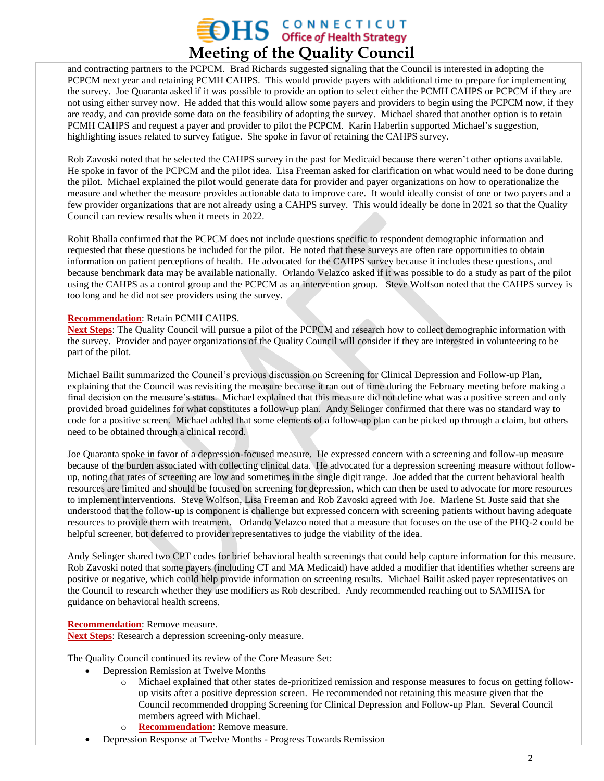### **OHS** CONNECTICUT **Meeting of the Quality Council**

and contracting partners to the PCPCM. Brad Richards suggested signaling that the Council is interested in adopting the PCPCM next year and retaining PCMH CAHPS. This would provide payers with additional time to prepare for implementing the survey. Joe Quaranta asked if it was possible to provide an option to select either the PCMH CAHPS or PCPCM if they are not using either survey now. He added that this would allow some payers and providers to begin using the PCPCM now, if they are ready, and can provide some data on the feasibility of adopting the survey. Michael shared that another option is to retain PCMH CAHPS and request a payer and provider to pilot the PCPCM. Karin Haberlin supported Michael's suggestion, highlighting issues related to survey fatigue. She spoke in favor of retaining the CAHPS survey.

Rob Zavoski noted that he selected the CAHPS survey in the past for Medicaid because there weren't other options available. He spoke in favor of the PCPCM and the pilot idea. Lisa Freeman asked for clarification on what would need to be done during the pilot. Michael explained the pilot would generate data for provider and payer organizations on how to operationalize the measure and whether the measure provides actionable data to improve care. It would ideally consist of one or two payers and a few provider organizations that are not already using a CAHPS survey. This would ideally be done in 2021 so that the Quality Council can review results when it meets in 2022.

Rohit Bhalla confirmed that the PCPCM does not include questions specific to respondent demographic information and requested that these questions be included for the pilot. He noted that these surveys are often rare opportunities to obtain information on patient perceptions of health. He advocated for the CAHPS survey because it includes these questions, and because benchmark data may be available nationally. Orlando Velazco asked if it was possible to do a study as part of the pilot using the CAHPS as a control group and the PCPCM as an intervention group. Steve Wolfson noted that the CAHPS survey is too long and he did not see providers using the survey.

#### **Recommendation**: Retain PCMH CAHPS.

**Next Steps**: The Quality Council will pursue a pilot of the PCPCM and research how to collect demographic information with the survey. Provider and payer organizations of the Quality Council will consider if they are interested in volunteering to be part of the pilot.

Michael Bailit summarized the Council's previous discussion on Screening for Clinical Depression and Follow-up Plan, explaining that the Council was revisiting the measure because it ran out of time during the February meeting before making a final decision on the measure's status. Michael explained that this measure did not define what was a positive screen and only provided broad guidelines for what constitutes a follow-up plan. Andy Selinger confirmed that there was no standard way to code for a positive screen. Michael added that some elements of a follow-up plan can be picked up through a claim, but others need to be obtained through a clinical record.

Joe Quaranta spoke in favor of a depression-focused measure. He expressed concern with a screening and follow-up measure because of the burden associated with collecting clinical data. He advocated for a depression screening measure without followup, noting that rates of screening are low and sometimes in the single digit range. Joe added that the current behavioral health resources are limited and should be focused on screening for depression, which can then be used to advocate for more resources to implement interventions. Steve Wolfson, Lisa Freeman and Rob Zavoski agreed with Joe. Marlene St. Juste said that she understood that the follow-up is component is challenge but expressed concern with screening patients without having adequate resources to provide them with treatment. Orlando Velazco noted that a measure that focuses on the use of the PHQ-2 could be helpful screener, but deferred to provider representatives to judge the viability of the idea.

Andy Selinger shared two CPT codes for brief behavioral health screenings that could help capture information for this measure. Rob Zavoski noted that some payers (including CT and MA Medicaid) have added a modifier that identifies whether screens are positive or negative, which could help provide information on screening results. Michael Bailit asked payer representatives on the Council to research whether they use modifiers as Rob described. Andy recommended reaching out to SAMHSA for guidance on behavioral health screens.

#### **Recommendation**: Remove measure.

**Next Steps**: Research a depression screening-only measure.

The Quality Council continued its review of the Core Measure Set:

- Depression Remission at Twelve Months
	- o Michael explained that other states de-prioritized remission and response measures to focus on getting followup visits after a positive depression screen. He recommended not retaining this measure given that the Council recommended dropping Screening for Clinical Depression and Follow-up Plan. Several Council members agreed with Michael.
	- o **Recommendation**: Remove measure.
	- Depression Response at Twelve Months Progress Towards Remission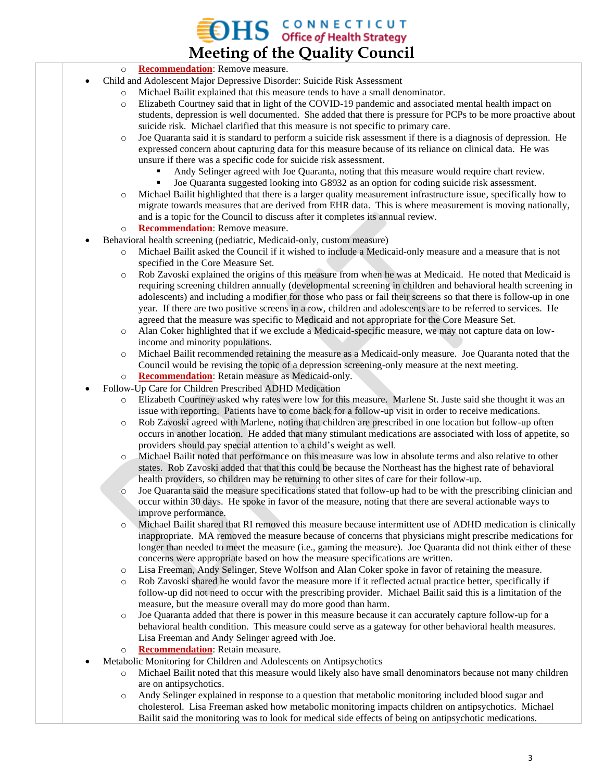## $\mathbf{H}\mathbf{S}$  CONNECTICUT **Meeting of the Quality Council**

- o **Recommendation**: Remove measure.
- Child and Adolescent Major Depressive Disorder: Suicide Risk Assessment
	- Michael Bailit explained that this measure tends to have a small denominator.
		- o Elizabeth Courtney said that in light of the COVID-19 pandemic and associated mental health impact on students, depression is well documented. She added that there is pressure for PCPs to be more proactive about suicide risk. Michael clarified that this measure is not specific to primary care.
		- o Joe Quaranta said it is standard to perform a suicide risk assessment if there is a diagnosis of depression. He expressed concern about capturing data for this measure because of its reliance on clinical data. He was unsure if there was a specific code for suicide risk assessment.
			- Andy Selinger agreed with Joe Quaranta, noting that this measure would require chart review.
			- Joe Quaranta suggested looking into G8932 as an option for coding suicide risk assessment.
		- o Michael Bailit highlighted that there is a larger quality measurement infrastructure issue, specifically how to migrate towards measures that are derived from EHR data. This is where measurement is moving nationally, and is a topic for the Council to discuss after it completes its annual review.
		- o **Recommendation**: Remove measure.
- Behavioral health screening (pediatric, Medicaid-only, custom measure)
	- o Michael Bailit asked the Council if it wished to include a Medicaid-only measure and a measure that is not specified in the Core Measure Set.
	- o Rob Zavoski explained the origins of this measure from when he was at Medicaid. He noted that Medicaid is requiring screening children annually (developmental screening in children and behavioral health screening in adolescents) and including a modifier for those who pass or fail their screens so that there is follow-up in one year. If there are two positive screens in a row, children and adolescents are to be referred to services. He agreed that the measure was specific to Medicaid and not appropriate for the Core Measure Set.
	- o Alan Coker highlighted that if we exclude a Medicaid-specific measure, we may not capture data on lowincome and minority populations.
	- o Michael Bailit recommended retaining the measure as a Medicaid-only measure. Joe Quaranta noted that the Council would be revising the topic of a depression screening-only measure at the next meeting.
	- o **Recommendation**: Retain measure as Medicaid-only.
- Follow-Up Care for Children Prescribed ADHD Medication
	- Elizabeth Courtney asked why rates were low for this measure. Marlene St. Juste said she thought it was an issue with reporting. Patients have to come back for a follow-up visit in order to receive medications.
	- o Rob Zavoski agreed with Marlene, noting that children are prescribed in one location but follow-up often occurs in another location. He added that many stimulant medications are associated with loss of appetite, so providers should pay special attention to a child's weight as well.
	- o Michael Bailit noted that performance on this measure was low in absolute terms and also relative to other states. Rob Zavoski added that that this could be because the Northeast has the highest rate of behavioral health providers, so children may be returning to other sites of care for their follow-up.
	- o Joe Quaranta said the measure specifications stated that follow-up had to be with the prescribing clinician and occur within 30 days. He spoke in favor of the measure, noting that there are several actionable ways to improve performance.
	- Michael Bailit shared that RI removed this measure because intermittent use of ADHD medication is clinically inappropriate. MA removed the measure because of concerns that physicians might prescribe medications for longer than needed to meet the measure (i.e., gaming the measure). Joe Quaranta did not think either of these concerns were appropriate based on how the measure specifications are written.
	- o Lisa Freeman, Andy Selinger, Steve Wolfson and Alan Coker spoke in favor of retaining the measure.
	- o Rob Zavoski shared he would favor the measure more if it reflected actual practice better, specifically if follow-up did not need to occur with the prescribing provider. Michael Bailit said this is a limitation of the measure, but the measure overall may do more good than harm.
	- o Joe Quaranta added that there is power in this measure because it can accurately capture follow-up for a behavioral health condition. This measure could serve as a gateway for other behavioral health measures. Lisa Freeman and Andy Selinger agreed with Joe.
	- o **Recommendation**: Retain measure.
- Metabolic Monitoring for Children and Adolescents on Antipsychotics
	- o Michael Bailit noted that this measure would likely also have small denominators because not many children are on antipsychotics.
	- o Andy Selinger explained in response to a question that metabolic monitoring included blood sugar and cholesterol. Lisa Freeman asked how metabolic monitoring impacts children on antipsychotics. Michael Bailit said the monitoring was to look for medical side effects of being on antipsychotic medications.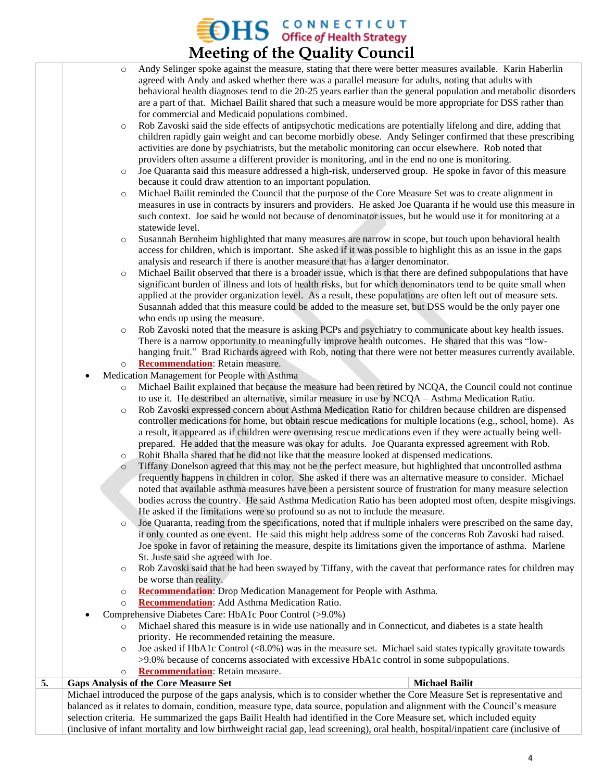## $\sum$  HS  $\sum$  C O N N E C T I C U T **Meeting of the Quality Council**

- o Andy Selinger spoke against the measure, stating that there were better measures available. Karin Haberlin agreed with Andy and asked whether there was a parallel measure for adults, noting that adults with behavioral health diagnoses tend to die 20-25 years earlier than the general population and metabolic disorders are a part of that. Michael Bailit shared that such a measure would be more appropriate for DSS rather than for commercial and Medicaid populations combined.
- o Rob Zavoski said the side effects of antipsychotic medications are potentially lifelong and dire, adding that children rapidly gain weight and can become morbidly obese. Andy Selinger confirmed that these prescribing activities are done by psychiatrists, but the metabolic monitoring can occur elsewhere. Rob noted that providers often assume a different provider is monitoring, and in the end no one is monitoring.
- o Joe Quaranta said this measure addressed a high-risk, underserved group. He spoke in favor of this measure because it could draw attention to an important population.
- o Michael Bailit reminded the Council that the purpose of the Core Measure Set was to create alignment in measures in use in contracts by insurers and providers. He asked Joe Quaranta if he would use this measure in such context. Joe said he would not because of denominator issues, but he would use it for monitoring at a statewide level.
- o Susannah Bernheim highlighted that many measures are narrow in scope, but touch upon behavioral health access for children, which is important. She asked if it was possible to highlight this as an issue in the gaps analysis and research if there is another measure that has a larger denominator.
- Michael Bailit observed that there is a broader issue, which is that there are defined subpopulations that have significant burden of illness and lots of health risks, but for which denominators tend to be quite small when applied at the provider organization level. As a result, these populations are often left out of measure sets. Susannah added that this measure could be added to the measure set, but DSS would be the only payer one who ends up using the measure.
- Rob Zavoski noted that the measure is asking PCPs and psychiatry to communicate about key health issues. There is a narrow opportunity to meaningfully improve health outcomes. He shared that this was "lowhanging fruit." Brad Richards agreed with Rob, noting that there were not better measures currently available.
- o **Recommendation**: Retain measure.
- Medication Management for People with Asthma
	- Michael Bailit explained that because the measure had been retired by NCQA, the Council could not continue to use it. He described an alternative, similar measure in use by NCQA – Asthma Medication Ratio.
	- o Rob Zavoski expressed concern about Asthma Medication Ratio for children because children are dispensed controller medications for home, but obtain rescue medications for multiple locations (e.g., school, home). As a result, it appeared as if children were overusing rescue medications even if they were actually being wellprepared. He added that the measure was okay for adults. Joe Quaranta expressed agreement with Rob.
	- o Rohit Bhalla shared that he did not like that the measure looked at dispensed medications.
	- o Tiffany Donelson agreed that this may not be the perfect measure, but highlighted that uncontrolled asthma frequently happens in children in color. She asked if there was an alternative measure to consider. Michael noted that available asthma measures have been a persistent source of frustration for many measure selection bodies across the country. He said Asthma Medication Ratio has been adopted most often, despite misgivings. He asked if the limitations were so profound so as not to include the measure.

o Joe Quaranta, reading from the specifications, noted that if multiple inhalers were prescribed on the same day, it only counted as one event. He said this might help address some of the concerns Rob Zavoski had raised. Joe spoke in favor of retaining the measure, despite its limitations given the importance of asthma. Marlene St. Juste said she agreed with Joe.

- o Rob Zavoski said that he had been swayed by Tiffany, with the caveat that performance rates for children may be worse than reality.
- o **Recommendation**: Drop Medication Management for People with Asthma.
- o **Recommendation**: Add Asthma Medication Ratio.
- Comprehensive Diabetes Care: HbA1c Poor Control (>9.0%)
	- o Michael shared this measure is in wide use nationally and in Connecticut, and diabetes is a state health priority. He recommended retaining the measure.
	- $\circ$  Joe asked if HbA1c Control (<8.0%) was in the measure set. Michael said states typically gravitate towards >9.0% because of concerns associated with excessive HbA1c control in some subpopulations.
	- o **Recommendation**: Retain measure.

**5. Gaps Analysis of the Core Measure Set Michael Bailit** Michael introduced the purpose of the gaps analysis, which is to consider whether the Core Measure Set is representative and balanced as it relates to domain, condition, measure type, data source, population and alignment with the Council's measure selection criteria. He summarized the gaps Bailit Health had identified in the Core Measure set, which included equity (inclusive of infant mortality and low birthweight racial gap, lead screening), oral health, hospital/inpatient care (inclusive of